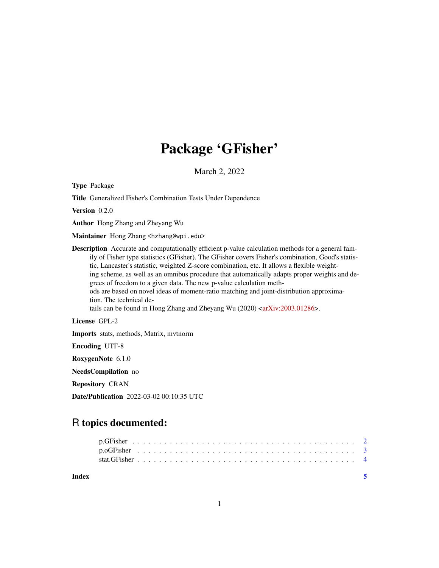## Package 'GFisher'

March 2, 2022

Type Package

Title Generalized Fisher's Combination Tests Under Dependence

Version 0.2.0

Author Hong Zhang and Zheyang Wu

Maintainer Hong Zhang <hzhang@wpi.edu>

Description Accurate and computationally efficient p-value calculation methods for a general family of Fisher type statistics (GFisher). The GFisher covers Fisher's combination, Good's statistic, Lancaster's statistic, weighted Z-score combination, etc. It allows a flexible weighting scheme, as well as an omnibus procedure that automatically adapts proper weights and degrees of freedom to a given data. The new p-value calculation methods are based on novel ideas of moment-ratio matching and joint-distribution approximation. The technical details can be found in Hong Zhang and Zheyang Wu  $(2020)$   $\langle \text{arXiv:} 2003.01286 \rangle$ .

License GPL-2

Imports stats, methods, Matrix, mvtnorm

Encoding UTF-8

RoxygenNote 6.1.0

NeedsCompilation no

Repository CRAN

Date/Publication 2022-03-02 00:10:35 UTC

### R topics documented:

| Index |  |  |  |  |  |  |  |  |  |  |  |  |  |  |  |  |  |  |  |  |  |  |
|-------|--|--|--|--|--|--|--|--|--|--|--|--|--|--|--|--|--|--|--|--|--|--|
|       |  |  |  |  |  |  |  |  |  |  |  |  |  |  |  |  |  |  |  |  |  |  |
|       |  |  |  |  |  |  |  |  |  |  |  |  |  |  |  |  |  |  |  |  |  |  |
|       |  |  |  |  |  |  |  |  |  |  |  |  |  |  |  |  |  |  |  |  |  |  |

1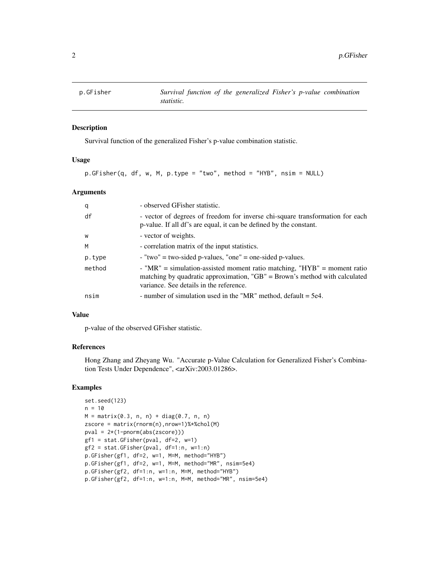<span id="page-1-0"></span>

#### Description

Survival function of the generalized Fisher's p-value combination statistic.

#### Usage

```
p.GFisher(q, df, w, M, p.type = "two", method = "HYB", nsim = NULL)
```
#### Arguments

| q      | - observed GFisher statistic.                                                                                                                                                                                 |
|--------|---------------------------------------------------------------------------------------------------------------------------------------------------------------------------------------------------------------|
| df     | - vector of degrees of freedom for inverse chi-square transformation for each<br>p-value. If all df's are equal, it can be defined by the constant.                                                           |
| W      | - vector of weights.                                                                                                                                                                                          |
| M      | - correlation matrix of the input statistics.                                                                                                                                                                 |
| p.type | $-$ "two" = two-sided p-values, "one" = one-sided p-values.                                                                                                                                                   |
| method | - " $MR$ " = simulation-assisted moment ratio matching, " $HYB$ " = moment ratio<br>matching by quadratic approximation, " $GB$ " = Brown's method with calculated<br>variance. See details in the reference. |
| nsim   | - number of simulation used in the "MR" method, default $=$ 5e4.                                                                                                                                              |

#### Value

p-value of the observed GFisher statistic.

#### References

Hong Zhang and Zheyang Wu. "Accurate p-Value Calculation for Generalized Fisher's Combination Tests Under Dependence", <arXiv:2003.01286>.

#### Examples

```
set.seed(123)
n = 10M = matrix(0.3, n, n) + diag(0.7, n, n)zscore = matrix(rnorm(n),nrow=1)%*%chol(M)
pval = 2*(1-pnorm(abs(zscore)))
gf1 = stat.GFisher(pval, df=2, w=1)
gf2 = stat.GFisher(pval, df=1:n, w=1:n)
p.GFisher(gf1, df=2, w=1, M=M, method="HYB")
p.GFisher(gf1, df=2, w=1, M=M, method="MR", nsim=5e4)
p.GFisher(gf2, df=1:n, w=1:n, M=M, method="HYB")
p.GFisher(gf2, df=1:n, w=1:n, M=M, method="MR", nsim=5e4)
```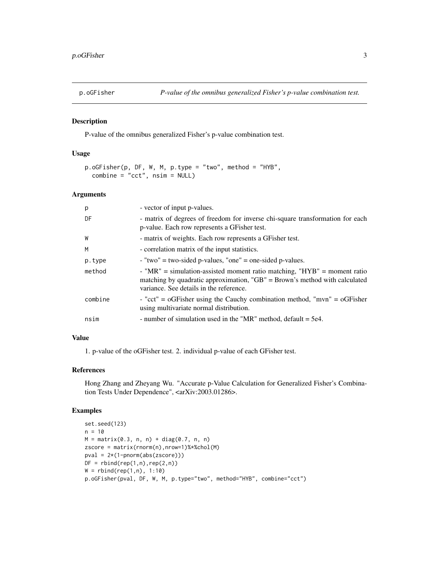<span id="page-2-0"></span>

#### Description

P-value of the omnibus generalized Fisher's p-value combination test.

#### Usage

```
p.oGFisher(p, DF, W, M, p.type = "two", method = "HYB",
 combine = "cct", nsim = NULL)
```
#### Arguments

| p       | - vector of input p-values.                                                                                                                                                                           |
|---------|-------------------------------------------------------------------------------------------------------------------------------------------------------------------------------------------------------|
| DF      | - matrix of degrees of freedom for inverse chi-square transformation for each<br>p-value. Each row represents a GFisher test.                                                                         |
| W       | - matrix of weights. Each row represents a GFisher test.                                                                                                                                              |
| M       | - correlation matrix of the input statistics.                                                                                                                                                         |
| p.type  | $-$ "two" = two-sided p-values, "one" = one-sided p-values.                                                                                                                                           |
| method  | - "MR" = simulation-assisted moment ratio matching, " $HYB''$ = moment ratio<br>matching by quadratic approximation, "GB" = Brown's method with calculated<br>variance. See details in the reference. |
| combine | - "cct" = $\text{oGFisher}$ using the Cauchy combination method, "mvn" = $\text{oGFisher}$<br>using multivariate normal distribution.                                                                 |
| nsim    | - number of simulation used in the "MR" method, default $=$ 5e4.                                                                                                                                      |

#### Value

1. p-value of the oGFisher test. 2. individual p-value of each GFisher test.

#### References

Hong Zhang and Zheyang Wu. "Accurate p-Value Calculation for Generalized Fisher's Combination Tests Under Dependence", <arXiv:2003.01286>.

#### Examples

```
set.seed(123)
n = 10M = matrix(0.3, n, n) + diag(0.7, n, n)zscore = matrix(rnorm(n),nrow=1)%*%chol(M)
pval = 2*(1-pnorm(abs(zscore)))
DF = rbind(rep(1, n), rep(2, n))W = \text{rbind}(\text{rep}(1, n), 1:10)p.oGFisher(pval, DF, W, M, p.type="two", method="HYB", combine="cct")
```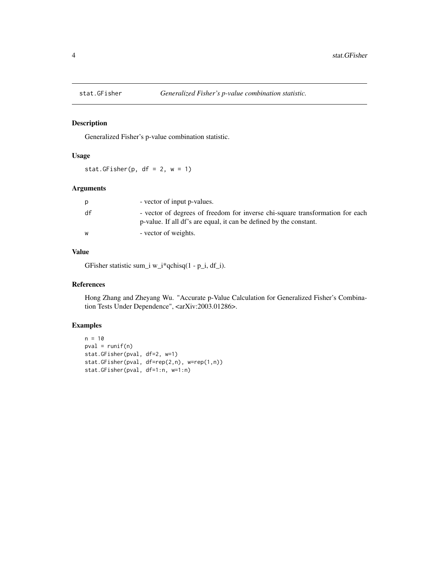<span id="page-3-0"></span>

#### Description

Generalized Fisher's p-value combination statistic.

#### Usage

stat.GFisher(p,  $df = 2$ ,  $w = 1$ )

#### Arguments

| p  | - vector of input p-values.                                                                                                                         |
|----|-----------------------------------------------------------------------------------------------------------------------------------------------------|
| df | - vector of degrees of freedom for inverse chi-square transformation for each<br>p-value. If all df's are equal, it can be defined by the constant. |
| W  | - vector of weights.                                                                                                                                |

#### Value

GFisher statistic sum\_i w\_i\*qchisq(1 - p\_i, df\_i).

#### References

Hong Zhang and Zheyang Wu. "Accurate p-Value Calculation for Generalized Fisher's Combination Tests Under Dependence", <arXiv:2003.01286>.

#### Examples

```
n = 10
pval = runif(n)stat.GFisher(pval, df=2, w=1)
stat.GFisher(pval, df=rep(2,n), w=rep(1,n))
stat.GFisher(pval, df=1:n, w=1:n)
```